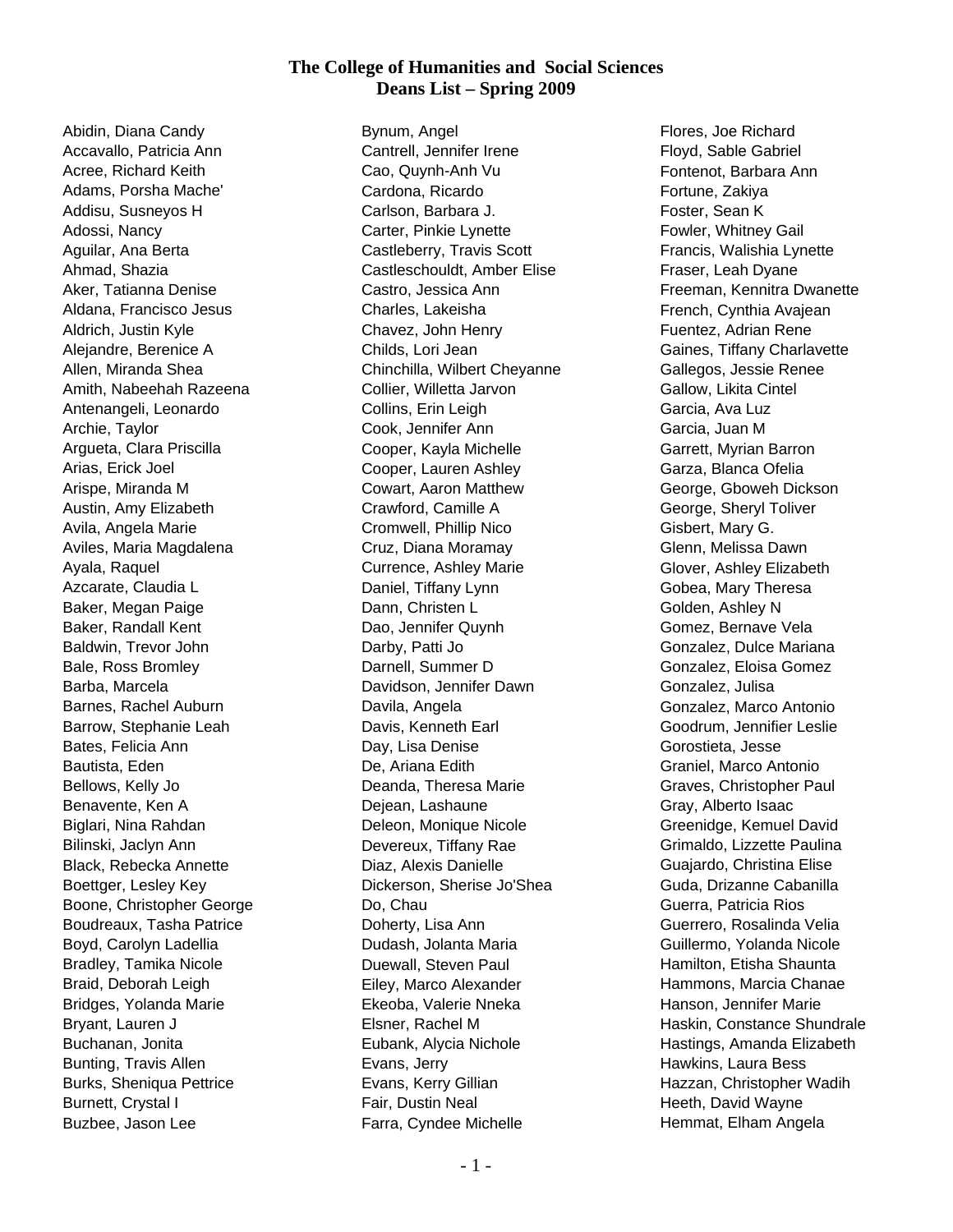## **The College of Humanities and Social Sciences Deans List – Spring 2009**

Abidin, Diana Candy Accavallo, Patricia Ann Acree, Richard Keith Adams, Porsha Mache' Addisu, Susneyos H Adossi, Nancy Aguilar, Ana Berta Ahmad, Shazia Aker, Tatianna Denise Aldana, Francisco Jesus Aldrich, Justin Kyle Alejandre, Berenice A Allen, Miranda Shea Amith, Nabeehah Razeena Antenangeli, Leonardo Archie, Taylor Argueta, Clara Priscilla Arias, Erick Joel Arispe, Miranda M Austin, Amy Elizabeth Avila, Angela Marie Aviles, Maria Magdalena Ayala, Raquel Azcarate, Claudia L Baker, Megan Paige Baker, Randall Kent Baldwin, Trevor John Bale, Ross Bromley Barba, Marcela Barnes, Rachel Auburn Barrow, Stephanie Leah Bates, Felicia Ann Bautista, Eden Bellows, Kelly Jo Benavente, Ken A Biglari, Nina Rahdan Bilinski, Jaclyn Ann Black, Rebecka Annette Boettger, Lesley Key Boone, Christopher George Boudreaux, Tasha Patrice Boyd, Carolyn Ladellia Bradley, Tamika Nicole Braid, Deborah Leigh Bridges, Yolanda Marie Bryant, Lauren J Buchanan, Jonita Bunting, Travis Allen Burks, Sheniqua Pettrice Burnett, Crystal I Buzbee, Jason Lee

Bynum, Angel Cantrell, Jennifer Irene Cao, Quynh-Anh Vu Cardona, Ricardo Carlson, Barbara J. Carter, Pinkie Lynette Castleberry, Travis Scott Castleschouldt, Amber Elise Castro, Jessica Ann Charles, Lakeisha Chavez, John Henry Childs, Lori Jean Chinchilla, Wilbert Cheyanne Collier, Willetta Jarvon Collins, Erin Leigh Cook, Jennifer Ann Cooper, Kayla Michelle Cooper, Lauren Ashley Cowart, Aaron Matthew Crawford, Camille A Cromwell, Phillip Nico Cruz, Diana Moramay Currence, Ashley Marie Daniel, Tiffany Lynn Dann, Christen L Dao, Jennifer Quynh Darby, Patti Jo Darnell, Summer D Davidson, Jennifer Dawn Davila, Angela Davis, Kenneth Earl Day, Lisa Denise De, Ariana Edith Deanda, Theresa Marie Dejean, Lashaune Deleon, Monique Nicole Devereux, Tiffany Rae Diaz, Alexis Danielle Dickerson, Sherise Jo'Shea Do, Chau Doherty, Lisa Ann Dudash, Jolanta Maria Duewall, Steven Paul Eiley, Marco Alexander Ekeoba, Valerie Nneka Elsner, Rachel M Eubank, Alycia Nichole Evans, Jerry Evans, Kerry Gillian Fair, Dustin Neal Farra, Cyndee Michelle

Flores, Joe Richard Floyd, Sable Gabriel Fontenot, Barbara Ann Fortune, Zakiya Foster, Sean K Fowler, Whitney Gail Francis, Walishia Lynette Fraser, Leah Dyane Freeman, Kennitra Dwanette French, Cynthia Avajean Fuentez, Adrian Rene Gaines, Tiffany Charlavette Gallegos, Jessie Renee Gallow, Likita Cintel Garcia, Ava Luz Garcia, Juan M Garrett, Myrian Barron Garza, Blanca Ofelia George, Gboweh Dickson George, Sheryl Toliver Gisbert, Mary G. Glenn, Melissa Dawn Glover, Ashley Elizabeth Gobea, Mary Theresa Golden, Ashley N Gomez, Bernave Vela Gonzalez, Dulce Mariana Gonzalez, Eloisa Gomez Gonzalez, Julisa Gonzalez, Marco Antonio Goodrum, Jennifier Leslie Gorostieta, Jesse Graniel, Marco Antonio Graves, Christopher Paul Gray, Alberto Isaac Greenidge, Kemuel David Grimaldo, Lizzette Paulina Guajardo, Christina Elise Guda, Drizanne Cabanilla Guerra, Patricia Rios Guerrero, Rosalinda Velia Guillermo, Yolanda Nicole Hamilton, Etisha Shaunta Hammons, Marcia Chanae Hanson, Jennifer Marie Haskin, Constance Shundrale Hastings, Amanda Elizabeth Hawkins, Laura Bess Hazzan, Christopher Wadih Heeth, David Wayne Hemmat, Elham Angela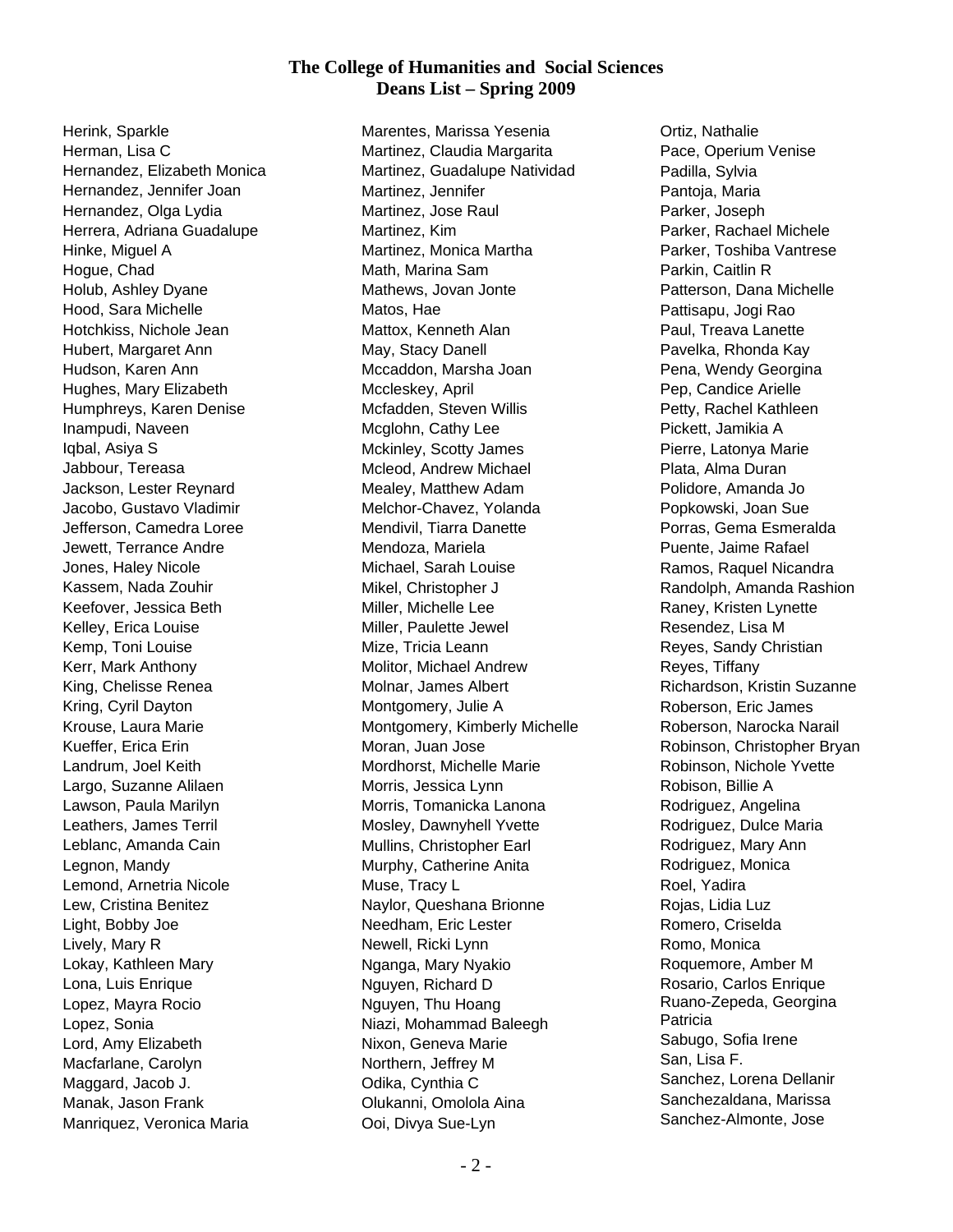## **The College of Humanities and Social Sciences Deans List – Spring 2009**

Herink, Sparkle Herman, Lisa C Hernandez, Elizabeth Monica Hernandez, Jennifer Joan Hernandez, Olga Lydia Herrera, Adriana Guadalupe Hinke, Miguel A Hogue, Chad Holub, Ashley Dyane Hood, Sara Michelle Hotchkiss, Nichole Jean Hubert, Margaret Ann Hudson, Karen Ann Hughes, Mary Elizabeth Humphreys, Karen Denise Inampudi, Naveen Iqbal, Asiya S Jabbour, Tereasa Jackson, Lester Reynard Jacobo, Gustavo Vladimir Jefferson, Camedra Loree Jewett, Terrance Andre Jones, Haley Nicole Kassem, Nada Zouhir Keefover, Jessica Beth Kelley, Erica Louise Kemp, Toni Louise Kerr, Mark Anthony King, Chelisse Renea Kring, Cyril Dayton Krouse, Laura Marie Kueffer, Erica Erin Landrum, Joel Keith Largo, Suzanne Alilaen Lawson, Paula Marilyn Leathers, James Terril Leblanc, Amanda Cain Legnon, Mandy Lemond, Arnetria Nicole Lew, Cristina Benitez Light, Bobby Joe Lively, Mary R Lokay, Kathleen Mary Lona, Luis Enrique Lopez, Mayra Rocio Lopez, Sonia Lord, Amy Elizabeth Macfarlane, Carolyn Maggard, Jacob J. Manak, Jason Frank Manriquez, Veronica Maria

Marentes, Marissa Yesenia Martinez, Claudia Margarita Martinez, Guadalupe Natividad Martinez, Jennifer Martinez, Jose Raul Martinez, Kim Martinez, Monica Martha Math, Marina Sam Mathews, Jovan Jonte Matos, Hae Mattox, Kenneth Alan May, Stacy Danell Mccaddon, Marsha Joan Mccleskey, April Mcfadden, Steven Willis Mcglohn, Cathy Lee Mckinley, Scotty James Mcleod, Andrew Michael Mealey, Matthew Adam Melchor-Chavez, Yolanda Mendivil, Tiarra Danette Mendoza, Mariela Michael, Sarah Louise Mikel, Christopher J Miller, Michelle Lee Miller, Paulette Jewel Mize, Tricia Leann Molitor, Michael Andrew Molnar, James Albert Montgomery, Julie A Montgomery, Kimberly Michelle Moran, Juan Jose Mordhorst, Michelle Marie Morris, Jessica Lynn Morris, Tomanicka Lanona Mosley, Dawnyhell Yvette Mullins, Christopher Earl Murphy, Catherine Anita Muse, Tracy L Naylor, Queshana Brionne Needham, Eric Lester Newell, Ricki Lynn Nganga, Mary Nyakio Nguyen, Richard D Nguyen, Thu Hoang Niazi, Mohammad Baleegh Nixon, Geneva Marie Northern, Jeffrey M Odika, Cynthia C Olukanni, Omolola Aina Ooi, Divya Sue-Lyn

Ortiz, Nathalie Pace, Operium Venise Padilla, Sylvia Pantoja, Maria Parker, Joseph Parker, Rachael Michele Parker, Toshiba Vantrese Parkin, Caitlin R Patterson, Dana Michelle Pattisapu, Jogi Rao Paul, Treava Lanette Pavelka, Rhonda Kay Pena, Wendy Georgina Pep, Candice Arielle Petty, Rachel Kathleen Pickett, Jamikia A Pierre, Latonya Marie Plata, Alma Duran Polidore, Amanda Jo Popkowski, Joan Sue Porras, Gema Esmeralda Puente, Jaime Rafael Ramos, Raquel Nicandra Randolph, Amanda Rashion Raney, Kristen Lynette Resendez, Lisa M Reyes, Sandy Christian Reyes, Tiffany Richardson, Kristin Suzanne Roberson, Eric James Roberson, Narocka Narail Robinson, Christopher Bryan Robinson, Nichole Yvette Robison, Billie A Rodriguez, Angelina Rodriguez, Dulce Maria Rodriguez, Mary Ann Rodriguez, Monica Roel, Yadira Rojas, Lidia Luz Romero, Criselda Romo, Monica Roquemore, Amber M Rosario, Carlos Enrique Ruano-Zepeda, Georgina Patricia Sabugo, Sofia Irene San, Lisa F. Sanchez, Lorena Dellanir Sanchezaldana, Marissa Sanchez-Almonte, Jose